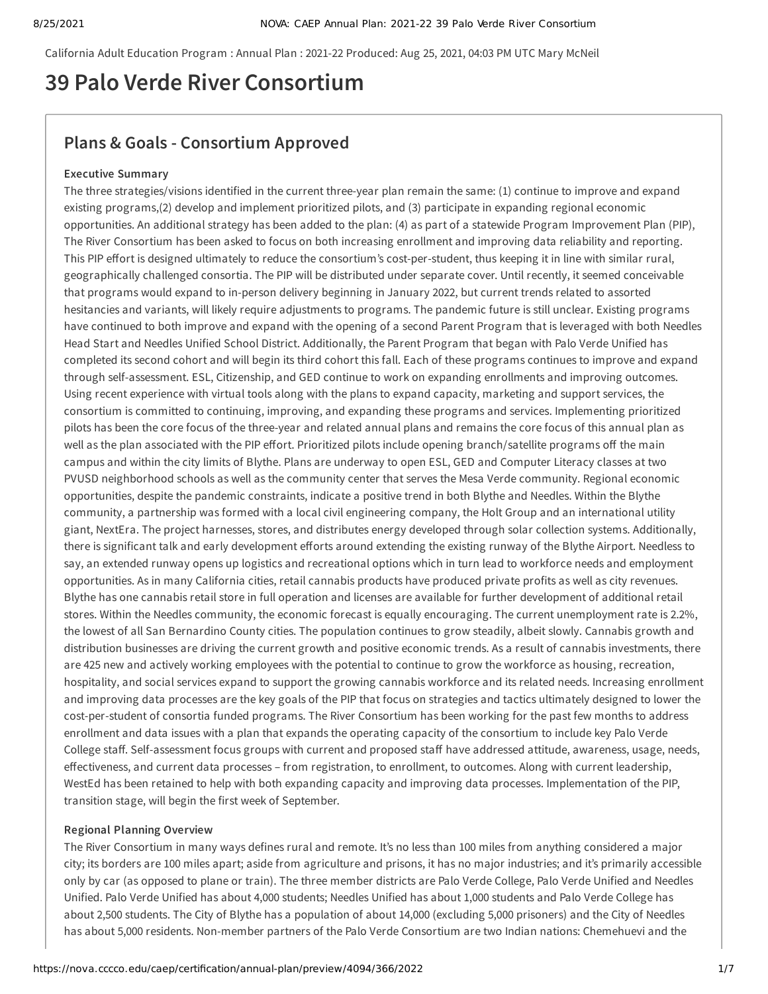California Adult Education Program : Annual Plan : 2021-22 Produced: Aug 25, 2021, 04:03 PM UTC Mary McNeil

# **39 Palo Verde River Consortium**

# **Plans & Goals - Consortium Approved**

# **Executive Summary**

The three strategies/visions identified in the current three-year plan remain the same: (1) continue to improve and expand existing programs,(2) develop and implement prioritized pilots, and (3) participate in expanding regional economic opportunities. An additional strategy has been added to the plan: (4) as part of a statewide Program Improvement Plan (PIP), The River Consortium has been asked to focus on both increasing enrollment and improving data reliability and reporting. This PIP effort is designed ultimately to reduce the consortium's cost-per-student, thus keeping it in line with similar rural, geographically challenged consortia. The PIP will be distributed under separate cover. Until recently, it seemed conceivable that programs would expand to in-person delivery beginning in January 2022, but current trends related to assorted hesitancies and variants, will likely require adjustments to programs. The pandemic future is still unclear. Existing programs have continued to both improve and expand with the opening of a second Parent Program that is leveraged with both Needles Head Start and Needles Unified School District. Additionally, the Parent Program that began with Palo Verde Unified has completed its second cohort and will begin its third cohort this fall. Each of these programs continues to improve and expand through self-assessment. ESL, Citizenship, and GED continue to work on expanding enrollments and improving outcomes. Using recent experience with virtual tools along with the plans to expand capacity, marketing and support services, the consortium is committed to continuing, improving, and expanding these programs and services. Implementing prioritized pilots has been the core focus of the three-year and related annual plans and remains the core focus of this annual plan as well as the plan associated with the PIP effort. Prioritized pilots include opening branch/satellite programs off the main campus and within the city limits of Blythe. Plans are underway to open ESL, GED and Computer Literacy classes at two PVUSD neighborhood schools as well as the community center that serves the Mesa Verde community. Regional economic opportunities, despite the pandemic constraints, indicate a positive trend in both Blythe and Needles. Within the Blythe community, a partnership was formed with a local civil engineering company, the Holt Group and an international utility giant, NextEra. The project harnesses, stores, and distributes energy developed through solar collection systems. Additionally, there is significant talk and early development efforts around extending the existing runway of the Blythe Airport. Needless to say, an extended runway opens up logistics and recreational options which in turn lead to workforce needs and employment opportunities. As in many California cities, retail cannabis products have produced private profits as well as city revenues. Blythe has one cannabis retail store in full operation and licenses are available for further development of additional retail stores. Within the Needles community, the economic forecast is equally encouraging. The current unemployment rate is 2.2%, the lowest of all San Bernardino County cities. The population continues to grow steadily, albeit slowly. Cannabis growth and distribution businesses are driving the current growth and positive economic trends. As a result of cannabis investments, there are 425 new and actively working employees with the potential to continue to grow the workforce as housing, recreation, hospitality, and social services expand to support the growing cannabis workforce and its related needs. Increasing enrollment and improving data processes are the key goals of the PIP that focus on strategies and tactics ultimately designed to lower the cost-per-student of consortia funded programs. The River Consortium has been working for the past few months to address enrollment and data issues with a plan that expands the operating capacity of the consortium to include key Palo Verde College staff. Self-assessment focus groups with current and proposed staff have addressed attitude, awareness, usage, needs, effectiveness, and current data processes – from registration, to enrollment, to outcomes. Along with current leadership, WestEd has been retained to help with both expanding capacity and improving data processes. Implementation of the PIP, transition stage, will begin the first week of September.

# **Regional Planning Overview**

The River Consortium in many ways defines rural and remote. It's no less than 100 miles from anything considered a major city; its borders are 100 miles apart; aside from agriculture and prisons, it has no major industries; and it's primarily accessible only by car (as opposed to plane or train). The three member districts are Palo Verde College, Palo Verde Unified and Needles Unified. Palo Verde Unified has about 4,000 students; Needles Unified has about 1,000 students and Palo Verde College has about 2,500 students. The City of Blythe has a population of about 14,000 (excluding 5,000 prisoners) and the City of Needles has about 5,000 residents. Non-member partners of the Palo Verde Consortium are two Indian nations: Chemehuevi and the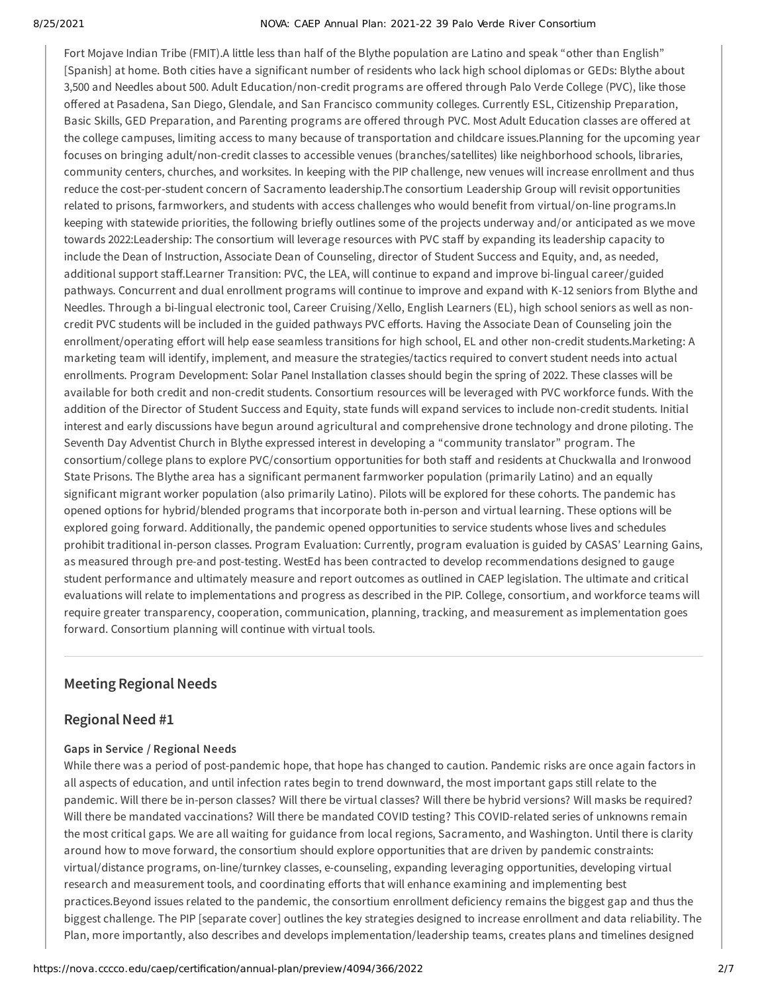#### 8/25/2021 NOVA: CAEP Annual Plan: 2021-22 39 Palo Verde River Consortium

Fort Mojave Indian Tribe (FMIT).A little less than half of the Blythe population are Latino and speak "other than English" [Spanish] at home. Both cities have a significant number of residents who lack high school diplomas or GEDs: Blythe about 3,500 and Needles about 500. Adult Education/non-credit programs are offered through Palo Verde College (PVC), like those offered at Pasadena, San Diego, Glendale, and San Francisco community colleges. Currently ESL, Citizenship Preparation, Basic Skills, GED Preparation, and Parenting programs are offered through PVC. Most Adult Education classes are offered at the college campuses, limiting access to many because of transportation and childcare issues.Planning for the upcoming year focuses on bringing adult/non-credit classes to accessible venues (branches/satellites) like neighborhood schools, libraries, community centers, churches, and worksites. In keeping with the PIP challenge, new venues will increase enrollment and thus reduce the cost-per-student concern of Sacramento leadership.The consortium Leadership Group will revisit opportunities related to prisons, farmworkers, and students with access challenges who would benefit from virtual/on-line programs.In keeping with statewide priorities, the following briefly outlines some of the projects underway and/or anticipated as we move towards 2022:Leadership: The consortium will leverage resources with PVC staff by expanding its leadership capacity to include the Dean of Instruction, Associate Dean of Counseling, director of Student Success and Equity, and, as needed, additional support staff.Learner Transition: PVC, the LEA, will continue to expand and improve bi-lingual career/guided pathways. Concurrent and dual enrollment programs will continue to improve and expand with K-12 seniors from Blythe and Needles. Through a bi-lingual electronic tool, Career Cruising /Xello, English Learners (EL), high school seniors as well as noncredit PVC students will be included in the guided pathways PVC efforts. Having the Associate Dean of Counseling join the enrollment/operating effort will help ease seamless transitions for high school, EL and other non-credit students.Marketing: A marketing team will identify, implement, and measure the strategies/tactics required to convert student needs into actual enrollments. Program Development: Solar Panel Installation classes should begin the spring of 2022. These classes will be available for both credit and non-credit students. Consortium resources will be leveraged with PVC workforce funds. With the addition of the Director of Student Success and Equity, state funds will expand services to include non-credit students. Initial interest and early discussions have begun around agricultural and comprehensive drone technology and drone piloting. The Seventh Day Adventist Church in Blythe expressed interest in developing a "community translator" program. The consortium/college plans to explore PVC/consortium opportunities for both staff and residents at Chuckwalla and Ironwood State Prisons. The Blythe area has a significant permanent farmworker population (primarily Latino) and an equally significant migrant worker population (also primarily Latino). Pilots will be explored for these cohorts. The pandemic has opened options for hybrid/blended programs that incorporate both in-person and virtual learning. These options will be explored going forward. Additionally, the pandemic opened opportunities to service students whose lives and schedules prohibit traditional in-person classes. Program Evaluation: Currently, program evaluation is guided by CASAS' Learning Gains, as measured through pre-and post-testing. WestEd has been contracted to develop recommendations designed to gauge student performance and ultimately measure and report outcomes as outlined in CAEP legislation. The ultimate and critical evaluations will relate to implementations and progress as described in the PIP. College, consortium, and workforce teams will require greater transparency, cooperation, communication, planning, tracking, and measurement as implementation goes forward. Consortium planning will continue with virtual tools.

# **Meeting Regional Needs**

# **Regional Need #1**

# **Gaps in Service / Regional Needs**

While there was a period of post-pandemic hope, that hope has changed to caution. Pandemic risks are once again factors in all aspects of education, and until infection rates begin to trend downward, the most important gaps still relate to the pandemic. Will there be in-person classes? Will there be virtual classes? Will there be hybrid versions? Will masks be required? Will there be mandated vaccinations? Will there be mandated COVID testing? This COVID-related series of unknowns remain the most critical gaps. We are all waiting for guidance from local regions, Sacramento, and Washington. Until there is clarity around how to move forward, the consortium should explore opportunities that are driven by pandemic constraints: virtual/distance programs, on-line/turnkey classes, e-counseling, expanding leveraging opportunities, developing virtual research and measurement tools, and coordinating efforts that will enhance examining and implementing best practices.Beyond issues related to the pandemic, the consortium enrollment deficiency remains the biggest gap and thus the biggest challenge. The PIP [separate cover] outlines the key strategies designed to increase enrollment and data reliability. The Plan, more importantly, also describes and develops implementation/leadership teams, creates plans and timelines designed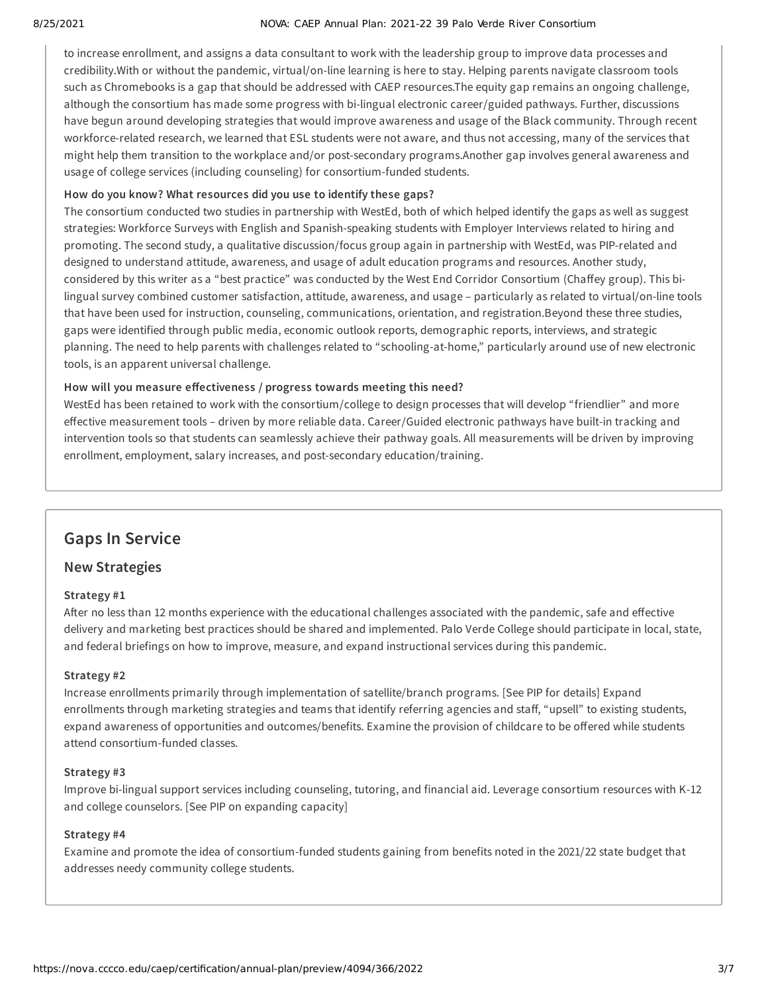#### 8/25/2021 NOVA: CAEP Annual Plan: 2021-22 39 Palo Verde River Consortium

to increase enrollment, and assigns a data consultant to work with the leadership group to improve data processes and credibility.With or without the pandemic, virtual/on-line learning is here to stay. Helping parents navigate classroom tools such as Chromebooks is a gap that should be addressed with CAEP resources.The equity gap remains an ongoing challenge, although the consortium has made some progress with bi-lingual electronic career/guided pathways. Further, discussions have begun around developing strategies that would improve awareness and usage of the Black community. Through recent workforce-related research, we learned that ESL students were not aware, and thus not accessing, many of the services that might help them transition to the workplace and/or post-secondary programs.Another gap involves general awareness and usage of college services (including counseling) for consortium-funded students.

# **How do you know? What resources did you use to identify these gaps?**

The consortium conducted two studies in partnership with WestEd, both of which helped identify the gaps as well as suggest strategies: Workforce Surveys with English and Spanish-speaking students with Employer Interviews related to hiring and promoting. The second study, a qualitative discussion/focus group again in partnership with WestEd, was PIP-related and designed to understand attitude, awareness, and usage of adult education programs and resources. Another study, considered by this writer as a "best practice" was conducted by the West End Corridor Consortium (Chaffey group). This bilingual survey combined customer satisfaction, attitude, awareness, and usage – particularly as related to virtual/on-line tools that have been used for instruction, counseling, communications, orientation, and registration.Beyond these three studies, gaps were identified through public media, economic outlook reports, demographic reports, interviews, and strategic planning. The need to help parents with challenges related to "schooling-at-home," particularly around use of new electronic tools, is an apparent universal challenge.

# **How will you measure effectiveness / progress towards meeting this need?**

WestEd has been retained to work with the consortium/college to design processes that will develop "friendlier" and more effective measurement tools – driven by more reliable data. Career/Guided electronic pathways have built-in tracking and intervention tools so that students can seamlessly achieve their pathway goals. All measurements will be driven by improving enrollment, employment, salary increases, and post-secondary education/training.

# **Gaps In Service**

# **New Strategies**

# **Strategy #1**

After no less than 12 months experience with the educational challenges associated with the pandemic, safe and effective delivery and marketing best practices should be shared and implemented. Palo Verde College should participate in local, state, and federal briefings on how to improve, measure, and expand instructional services during this pandemic.

# **Strategy #2**

Increase enrollments primarily through implementation of satellite/branch programs. [See PIP for details] Expand enrollments through marketing strategies and teams that identify referring agencies and staff, "upsell" to existing students, expand awareness of opportunities and outcomes/benefits. Examine the provision of childcare to be offered while students attend consortium-funded classes.

# **Strategy #3**

Improve bi-lingual support services including counseling, tutoring, and financial aid. Leverage consortium resources with K-12 and college counselors. [See PIP on expanding capacity]

# **Strategy #4**

Examine and promote the idea of consortium-funded students gaining from benefits noted in the 2021/22 state budget that addresses needy community college students.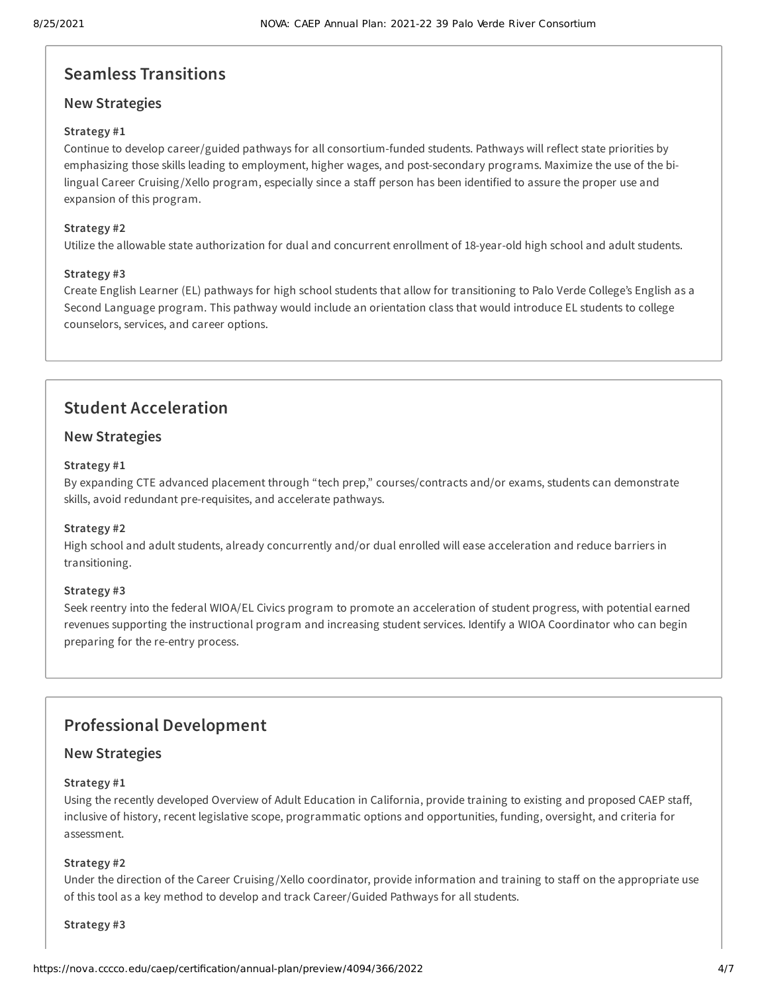# **Seamless Transitions**

# **New Strategies**

# **Strategy #1**

Continue to develop career/guided pathways for all consortium-funded students. Pathways will reflect state priorities by emphasizing those skills leading to employment, higher wages, and post-secondary programs. Maximize the use of the bilingual Career Cruising /Xello program, especially since a staff person has been identified to assure the proper use and expansion of this program.

# **Strategy #2**

Utilize the allowable state authorization for dual and concurrent enrollment of 18-year-old high school and adult students.

# **Strategy #3**

Create English Learner (EL) pathways for high school students that allow for transitioning to Palo Verde College's English as a Second Language program. This pathway would include an orientation class that would introduce EL students to college counselors, services, and career options.

# **Student Acceleration**

# **New Strategies**

# **Strategy #1**

By expanding CTE advanced placement through "tech prep," courses/contracts and/or exams, students can demonstrate skills, avoid redundant pre-requisites, and accelerate pathways.

# **Strategy #2**

High school and adult students, already concurrently and/or dual enrolled will ease acceleration and reduce barriers in transitioning.

# **Strategy #3**

Seek reentry into the federal WIOA/EL Civics program to promote an acceleration of student progress, with potential earned revenues supporting the instructional program and increasing student services. Identify a WIOA Coordinator who can begin preparing for the re-entry process.

# **Professional Development**

# **New Strategies**

# **Strategy #1**

Using the recently developed Overview of Adult Education in California, provide training to existing and proposed CAEP staff, inclusive of history, recent legislative scope, programmatic options and opportunities, funding, oversight, and criteria for assessment.

# **Strategy #2**

Under the direction of the Career Cruising /Xello coordinator, provide information and training to staff on the appropriate use of this tool as a key method to develop and track Career/Guided Pathways for all students.

#### **Strategy #3**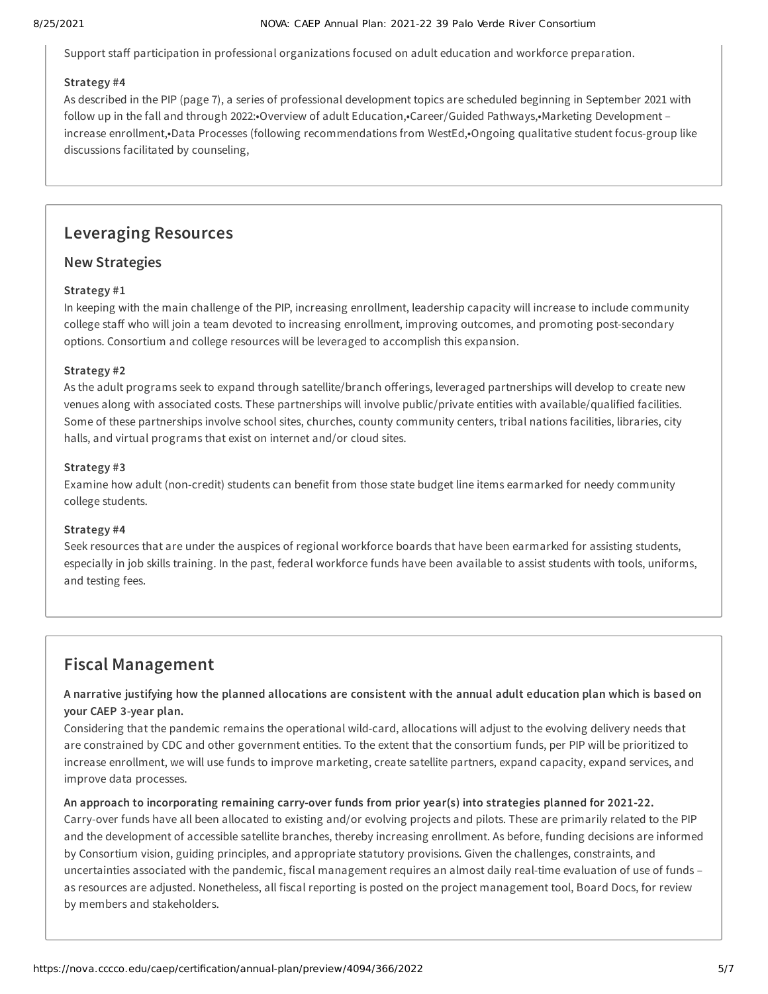Support staff participation in professional organizations focused on adult education and workforce preparation.

# **Strategy #4**

As described in the PIP (page 7), a series of professional development topics are scheduled beginning in September 2021 with follow up in the fall and through 2022:•Overview of adult Education,•Career/Guided Pathways,•Marketing Development – increase enrollment,•Data Processes (following recommendations from WestEd,•Ongoing qualitative student focus-group like discussions facilitated by counseling,

# **Leveraging Resources**

# **New Strategies**

# **Strategy #1**

In keeping with the main challenge of the PIP, increasing enrollment, leadership capacity will increase to include community college staff who will join a team devoted to increasing enrollment, improving outcomes, and promoting post-secondary options. Consortium and college resources will be leveraged to accomplish this expansion.

# **Strategy #2**

As the adult programs seek to expand through satellite/branch offerings, leveraged partnerships will develop to create new venues along with associated costs. These partnerships will involve public/private entities with available/qualified facilities. Some of these partnerships involve school sites, churches, county community centers, tribal nations facilities, libraries, city halls, and virtual programs that exist on internet and/or cloud sites.

# **Strategy #3**

Examine how adult (non-credit) students can benefit from those state budget line items earmarked for needy community college students.

# **Strategy #4**

Seek resources that are under the auspices of regional workforce boards that have been earmarked for assisting students, especially in job skills training. In the past, federal workforce funds have been available to assist students with tools, uniforms, and testing fees.

# **Fiscal Management**

# A narrative justifying how the planned allocations are consistent with the annual adult education plan which is based on **your CAEP 3-year plan.**

Considering that the pandemic remains the operational wild-card, allocations will adjust to the evolving delivery needs that are constrained by CDC and other government entities. To the extent that the consortium funds, per PIP will be prioritized to increase enrollment, we will use funds to improve marketing, create satellite partners, expand capacity, expand services, and improve data processes.

# **An approach to incorporating remaining carry-over funds from prior year(s) into strategies planned for 2021-22.**

Carry-over funds have all been allocated to existing and/or evolving projects and pilots. These are primarily related to the PIP and the development of accessible satellite branches, thereby increasing enrollment. As before, funding decisions are informed by Consortium vision, guiding principles, and appropriate statutory provisions. Given the challenges, constraints, and uncertainties associated with the pandemic, fiscal management requires an almost daily real-time evaluation of use of funds – as resources are adjusted. Nonetheless, all fiscal reporting is posted on the project management tool, Board Docs, for review by members and stakeholders.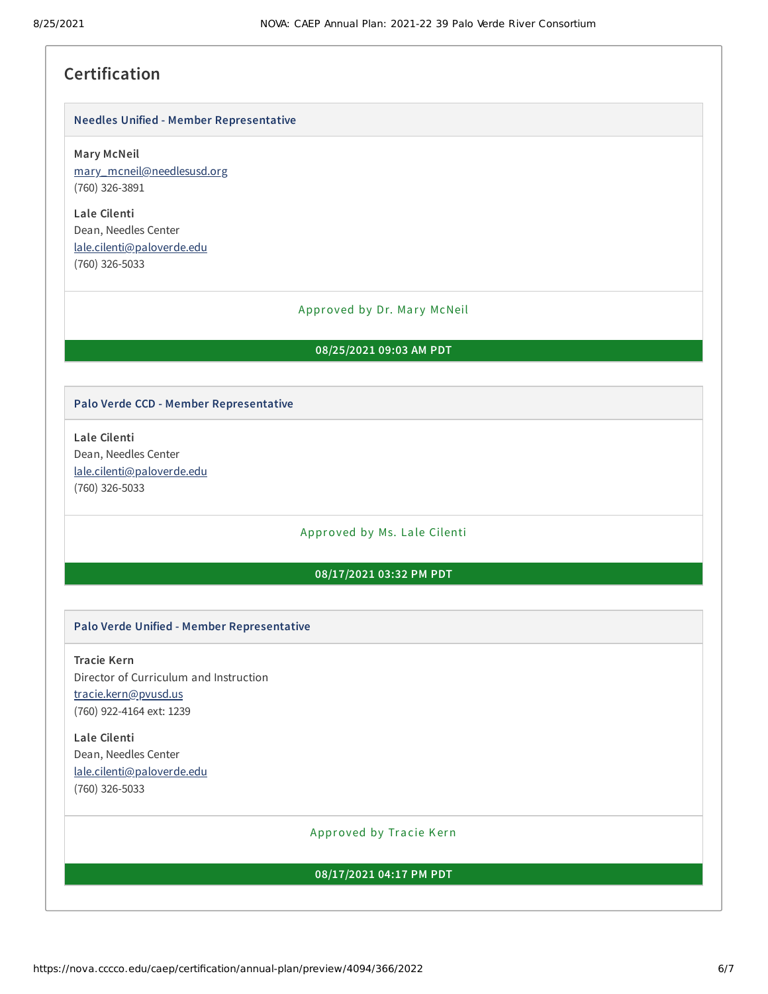# **Certification**

#### **Needles Unified - Member Representative**

**Mary McNeil**

[mary\\_mcneil@needlesusd.org](mailto:mary_mcneil@needlesusd.org) (760) 326-3891

**Lale Cilenti** Dean, Needles Center [lale.cilenti@paloverde.edu](mailto:lale.cilenti@paloverde.edu) (760) 326-5033

#### Approved by Dr. Mary McNeil

#### **08/25/2021 09:03 AM PDT**

#### **Palo Verde CCD - Member Representative**

**Lale Cilenti** Dean, Needles Center [lale.cilenti@paloverde.edu](mailto:lale.cilenti@paloverde.edu) (760) 326-5033

#### Approved by Ms. Lale Cilenti

### **08/17/2021 03:32 PM PDT**

#### **Palo Verde Unified - Member Representative**

**Tracie Kern** Director of Curriculum and Instruction [tracie.kern@pvusd.us](mailto:tracie.kern@pvusd.us) (760) 922-4164 ext: 1239

**Lale Cilenti** Dean, Needles Center [lale.cilenti@paloverde.edu](mailto:lale.cilenti@paloverde.edu) (760) 326-5033

# Approved by Tracie Kern

# **08/17/2021 04:17 PM PDT**